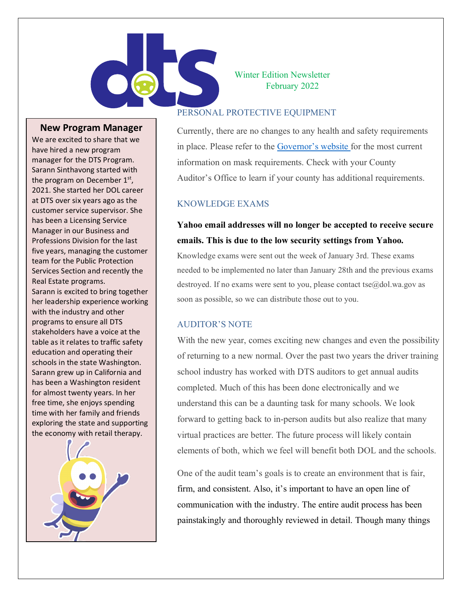

#### **New Program Manager**

We are excited to share that we have hired a new program manager for the DTS Program. Sarann Sinthavong started with the program on December 1<sup>st</sup>, 2021. She started her DOL career at DTS over six years ago as the customer service supervisor. She has been a Licensing Service Manager in our Business and Professions Division for the last five years, managing the customer team for the Public Protection Services Section and recently the Real Estate programs. Sarann is excited to bring together her leadership experience working with the industry and other programs to ensure all DTS stakeholders have a voice at the table as it relates to traffic safety education and operating their schools in the state Washington. Sarann grew up in California and has been a Washington resident for almost twenty years. In her free time, she enjoys spending time with her family and friends exploring the state and supporting the economy with retail therapy.



Winter Edition Newsletter February 2022

#### PERSONAL PROTECTIVE EQUIPMENT

Currently, there are no changes to any health and safety requirements in place. Please refer to the [Governor's website f](https://www.governor.wa.gov/issues/issues/covid-19-resources/covid-19-reopening-guidance)or the most current information on mask requirements. Check with your County Auditor's Office to learn if your county has additional requirements.

#### KNOWLEDGE EXAMS

# **Yahoo email addresses will no longer be accepted to receive secure emails. This is due to the low security settings from Yahoo.**

Knowledge exams were sent out the week of January 3rd. These exams needed to be implemented no later than January 28th and the previous exams destroyed. If no exams were sent to you, please contact tse $@$ dol.wa.gov as soon as possible, so we can distribute those out to you.

#### AUDITOR'S NOTE

With the new year, comes exciting new changes and even the possibility of returning to a new normal. Over the past two years the driver training school industry has worked with DTS auditors to get annual audits completed. Much of this has been done electronically and we understand this can be a daunting task for many schools. We look forward to getting back to in-person audits but also realize that many virtual practices are better. The future process will likely contain elements of both, which we feel will benefit both DOL and the schools.

One of the audit team's goals is to create an environment that is fair, firm, and consistent. Also, it's important to have an open line of communication with the industry. The entire audit process has been painstakingly and thoroughly reviewed in detail. Though many things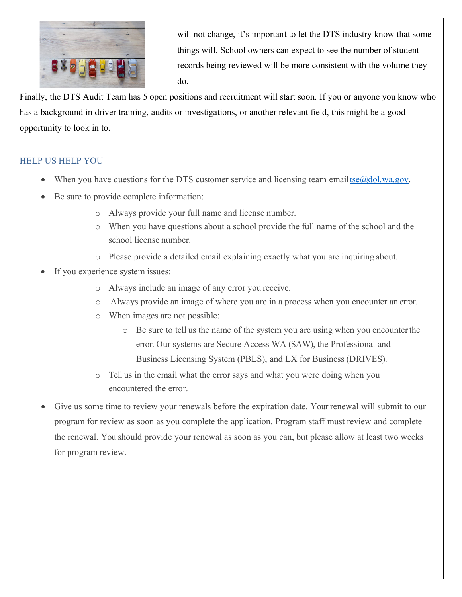

will not change, it's important to let the DTS industry know that some things will. School owners can expect to see the number of student records being reviewed will be more consistent with the volume they do.

Finally, the DTS Audit Team has 5 open positions and recruitment will start soon. If you or anyone you know who has a background in driver training, audits or investigations, or another relevant field, this might be a good opportunity to look in to.

## HELP US HELP YOU

- When you have questions for the DTS customer service and licensing team emailtse $@$ dol.wa.gov.
- Be sure to provide complete information:
	- o Always provide your full name and license number.
	- o When you have questions about a school provide the full name of the school and the school license number.
	- o Please provide a detailed email explaining exactly what you are inquiring about.
- If you experience system issues:
	- o Always include an image of any error you receive.
	- o Always provide an image of where you are in a process when you encounter an error.
	- o When images are not possible:
		- o Be sure to tell us the name of the system you are using when you encounterthe error. Our systems are Secure Access WA (SAW), the Professional and Business Licensing System (PBLS), and LX for Business (DRIVES).
	- o Tell us in the email what the error says and what you were doing when you encountered the error.
- Give us some time to review your renewals before the expiration date. Your renewal will submit to our program for review as soon as you complete the application. Program staff must review and complete the renewal. You should provide your renewal as soon as you can, but please allow at least two weeks for program review.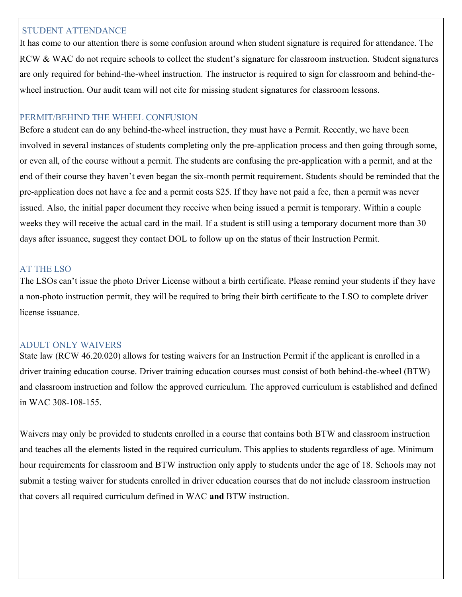#### STUDENT ATTENDANCE

It has come to our attention there is some confusion around when student signature is required for attendance. The RCW & WAC do not require schools to collect the student's signature for classroom instruction. Student signatures are only required for behind-the-wheel instruction. The instructor is required to sign for classroom and behind-thewheel instruction. Our audit team will not cite for missing student signatures for classroom lessons.

#### PERMIT/BEHIND THE WHEEL CONFUSION

Before a student can do any behind-the-wheel instruction, they must have a Permit. Recently, we have been involved in several instances of students completing only the pre-application process and then going through some, or even all, of the course without a permit. The students are confusing the pre-application with a permit, and at the end of their course they haven't even began the six-month permit requirement. Students should be reminded that the pre-application does not have a fee and a permit costs \$25. If they have not paid a fee, then a permit was never issued. Also, the initial paper document they receive when being issued a permit is temporary. Within a couple weeks they will receive the actual card in the mail. If a student is still using a temporary document more than 30 days after issuance, suggest they contact DOL to follow up on the status of their Instruction Permit.

## AT THE LSO

The LSOs can't issue the photo Driver License without a birth certificate. Please remind your students if they have a non-photo instruction permit, they will be required to bring their birth certificate to the LSO to complete driver license issuance.

#### ADULT ONLY WAIVERS

State law (RCW 46.20.020) allows for testing waivers for an Instruction Permit if the applicant is enrolled in a driver training education course. Driver training education courses must consist of both behind-the-wheel (BTW) and classroom instruction and follow the approved curriculum. The approved curriculum is established and defined in WAC 308-108-155.

Waivers may only be provided to students enrolled in a course that contains both BTW and classroom instruction and teaches all the elements listed in the required curriculum. This applies to students regardless of age. Minimum hour requirements for classroom and BTW instruction only apply to students under the age of 18. Schools may not submit a testing waiver for students enrolled in driver education courses that do not include classroom instruction that covers all required curriculum defined in WAC **and** BTW instruction.